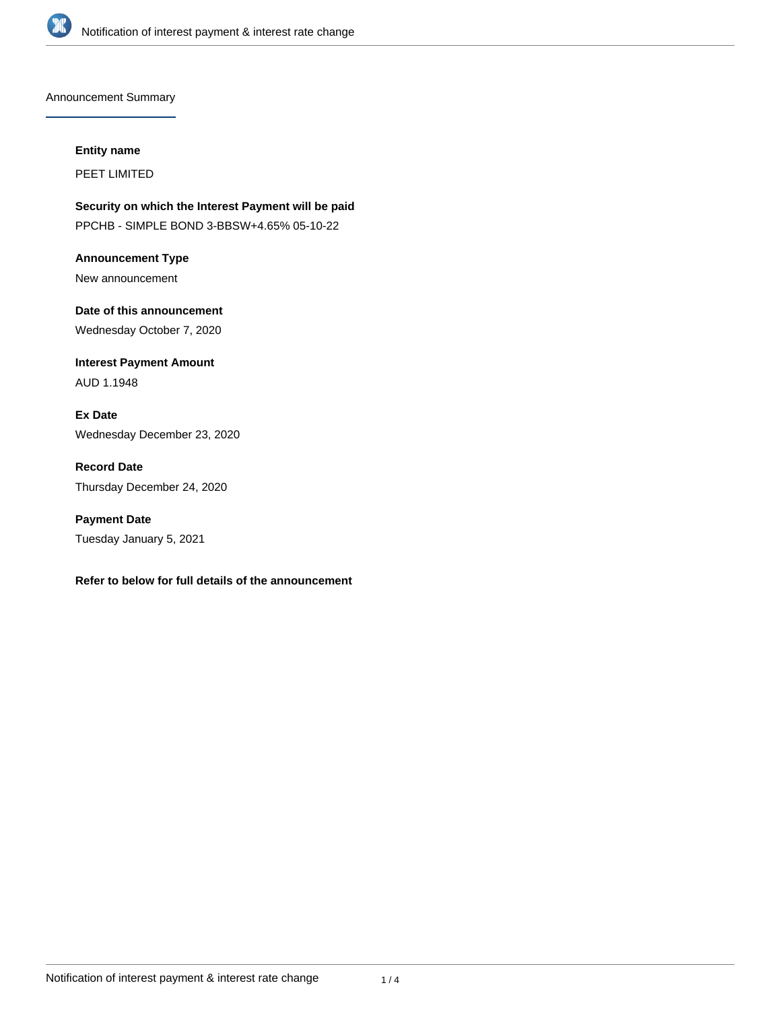

Announcement Summary

**Entity name**

PEET LIMITED

**Security on which the Interest Payment will be paid** PPCHB - SIMPLE BOND 3-BBSW+4.65% 05-10-22

**Announcement Type** New announcement

**Date of this announcement** Wednesday October 7, 2020

**Interest Payment Amount** AUD 1.1948

**Ex Date** Wednesday December 23, 2020

**Record Date** Thursday December 24, 2020

**Payment Date** Tuesday January 5, 2021

**Refer to below for full details of the announcement**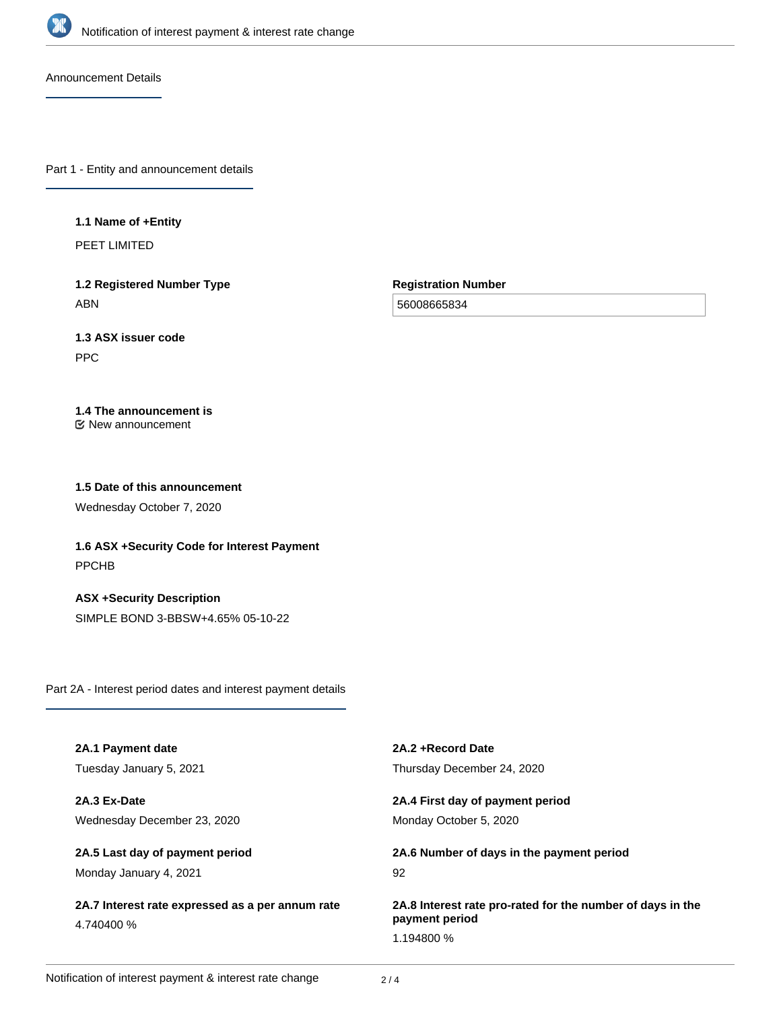

Announcement Details

Part 1 - Entity and announcement details

#### **1.1 Name of +Entity**

PEET LIMITED

**1.2 Registered Number Type** ABN

**Registration Number**

56008665834

# **1.3 ASX issuer code**

PPC

# **1.4 The announcement is**

New announcement

## **1.5 Date of this announcement**

Wednesday October 7, 2020

**1.6 ASX +Security Code for Interest Payment** PPCHB

**ASX +Security Description** SIMPLE BOND 3-BBSW+4.65% 05-10-22

Part 2A - Interest period dates and interest payment details

| 2A.1 Payment date                                | 2A.2 + Record Date                                         |
|--------------------------------------------------|------------------------------------------------------------|
| Tuesday January 5, 2021                          | Thursday December 24, 2020                                 |
| 2A.3 Ex-Date                                     | 2A.4 First day of payment period                           |
| Wednesday December 23, 2020                      | Monday October 5, 2020                                     |
| 2A.5 Last day of payment period                  | 2A.6 Number of days in the payment period                  |
| Monday January 4, 2021                           | 92                                                         |
| 2A.7 Interest rate expressed as a per annum rate | 2A.8 Interest rate pro-rated for the number of days in the |
| 4.740400 %                                       | payment period                                             |
|                                                  | 1.194800 %                                                 |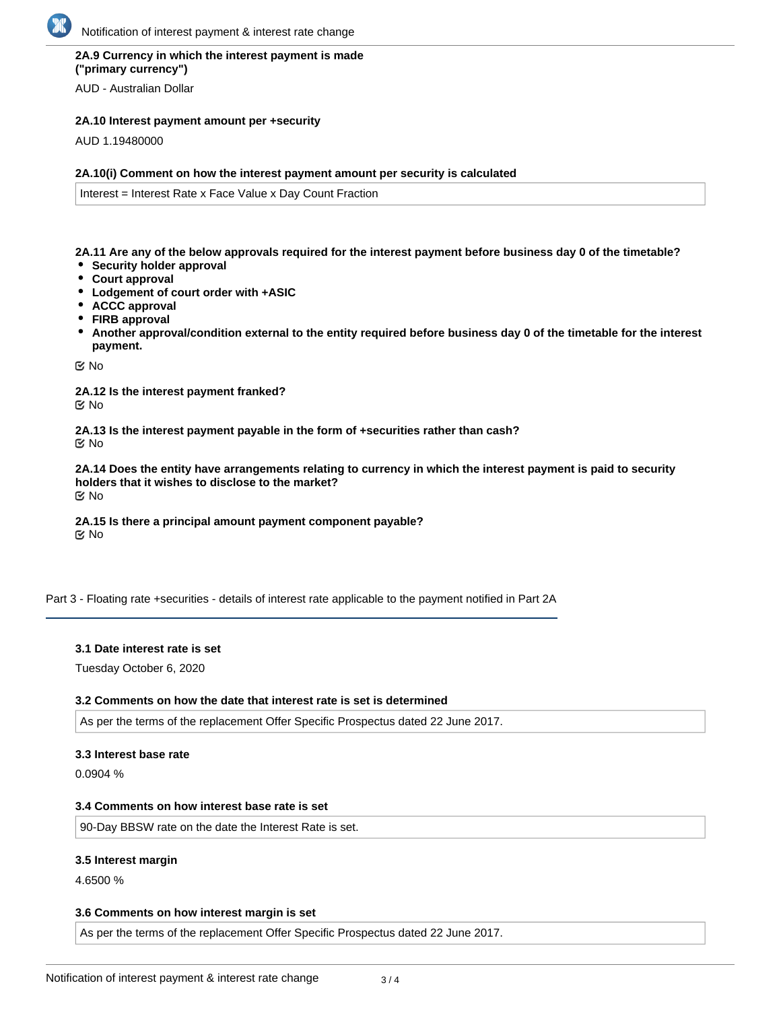## **2A.9 Currency in which the interest payment is made ("primary currency")**

AUD - Australian Dollar

## **2A.10 Interest payment amount per +security**

AUD 1.19480000

#### **2A.10(i) Comment on how the interest payment amount per security is calculated**

Interest = Interest Rate x Face Value x Day Count Fraction

**2A.11 Are any of the below approvals required for the interest payment before business day 0 of the timetable?**

- **Security holder approval**
- **Court approval**
- **Lodgement of court order with +ASIC**
- **ACCC approval**
- **FIRB approval**
- **Another approval/condition external to the entity required before business day 0 of the timetable for the interest payment.**

No

**2A.12 Is the interest payment franked?** No

**2A.13 Is the interest payment payable in the form of +securities rather than cash?** No

**2A.14 Does the entity have arrangements relating to currency in which the interest payment is paid to security holders that it wishes to disclose to the market?** No

**2A.15 Is there a principal amount payment component payable? K** No

Part 3 - Floating rate +securities - details of interest rate applicable to the payment notified in Part 2A

#### **3.1 Date interest rate is set**

Tuesday October 6, 2020

#### **3.2 Comments on how the date that interest rate is set is determined**

As per the terms of the replacement Offer Specific Prospectus dated 22 June 2017.

#### **3.3 Interest base rate**

0.0904 %

#### **3.4 Comments on how interest base rate is set**

90-Day BBSW rate on the date the Interest Rate is set.

#### **3.5 Interest margin**

4.6500 %

#### **3.6 Comments on how interest margin is set**

As per the terms of the replacement Offer Specific Prospectus dated 22 June 2017.